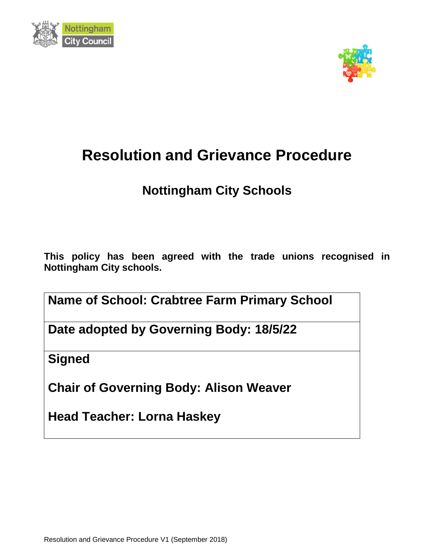



# **Resolution and Grievance Procedure**

# **Nottingham City Schools**

**This policy has been agreed with the trade unions recognised in Nottingham City schools.**

**Name of School: Crabtree Farm Primary School**

**Date adopted by Governing Body: 18/5/22**

**Signed**

**Chair of Governing Body: Alison Weaver**

**Head Teacher: Lorna Haskey**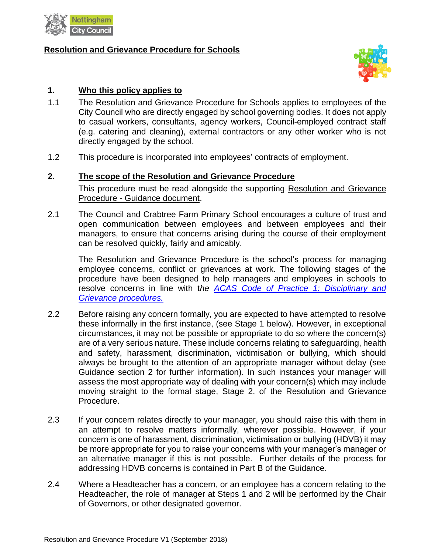

#### **Resolution and Grievance Procedure for Schools**



#### **1. Who this policy applies to**

- 1.1 The Resolution and Grievance Procedure for Schools applies to employees of the City Council who are directly engaged by school governing bodies. It does not apply to casual workers, consultants, agency workers, Council-employed contract staff (e.g. catering and cleaning), external contractors or any other worker who is not directly engaged by the school.
- 1.2 This procedure is incorporated into employees' contracts of employment.

#### **2. The scope of the Resolution and Grievance Procedure**

This procedure must be read alongside the supporting Resolution [and Grievance](http://gossweb.nottinghamcity.gov.uk/nccextranet/index.aspx?articleid=21292) Procedure - [Guidance document.](http://gossweb.nottinghamcity.gov.uk/nccextranet/index.aspx?articleid=21292)

2.1 The Council and Crabtree Farm Primary School encourages a culture of trust and open communication between employees and between employees and their managers, to ensure that concerns arising during the course of their employment can be resolved quickly, fairly and amicably.

The Resolution and Grievance Procedure is the school's process for managing employee concerns, conflict or grievances at work. The following stages of the procedure have been designed to help managers and employees in schools to resolve concerns in line with t*he [ACAS Code of Practice 1: Disciplinary and](http://www.acas.org.uk/index.aspx?articleid=2174)  [Grievance procedures.](http://www.acas.org.uk/index.aspx?articleid=2174)*

- 2.2 Before raising any concern formally, you are expected to have attempted to resolve these informally in the first instance, (see Stage 1 below). However, in exceptional circumstances, it may not be possible or appropriate to do so where the concern(s) are of a very serious nature. These include concerns relating to safeguarding, health and safety, harassment, discrimination, victimisation or bullying, which should always be brought to the attention of an appropriate manager without delay (see Guidance section 2 for further information). In such instances your manager will assess the most appropriate way of dealing with your concern(s) which may include moving straight to the formal stage, Stage 2, of the Resolution and Grievance Procedure.
- 2.3 If your concern relates directly to your manager, you should raise this with them in an attempt to resolve matters informally, wherever possible. However, if your concern is one of harassment, discrimination, victimisation or bullying (HDVB) it may be more appropriate for you to raise your concerns with your manager's manager or an alternative manager if this is not possible. Further details of the process for addressing HDVB concerns is contained in Part B of the Guidance.
- 2.4 Where a Headteacher has a concern, or an employee has a concern relating to the Headteacher, the role of manager at Steps 1 and 2 will be performed by the Chair of Governors, or other designated governor.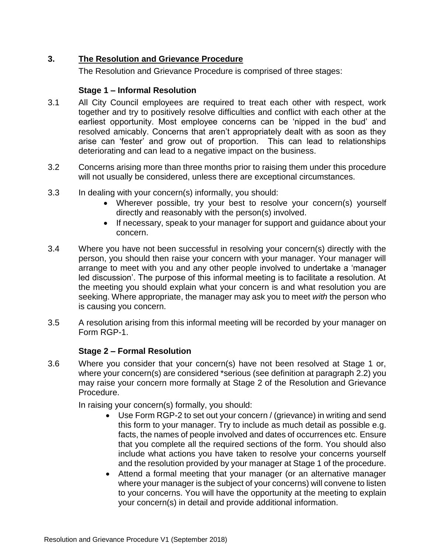# **3. The Resolution and Grievance Procedure**

The Resolution and Grievance Procedure is comprised of three stages:

# **Stage 1 – Informal Resolution**

- 3.1 All City Council employees are required to treat each other with respect, work together and try to positively resolve difficulties and conflict with each other at the earliest opportunity. Most employee concerns can be 'nipped in the bud' and resolved amicably. Concerns that aren't appropriately dealt with as soon as they arise can 'fester' and grow out of proportion. This can lead to relationships deteriorating and can lead to a negative impact on the business.
- 3.2 Concerns arising more than three months prior to raising them under this procedure will not usually be considered, unless there are exceptional circumstances.
- 3.3 In dealing with your concern(s) informally, you should:
	- Wherever possible, try your best to resolve your concern(s) yourself directly and reasonably with the person(s) involved.
	- If necessary, speak to your manager for support and guidance about your concern.
- 3.4 Where you have not been successful in resolving your concern(s) directly with the person, you should then raise your concern with your manager. Your manager will arrange to meet with you and any other people involved to undertake a 'manager led discussion'. The purpose of this informal meeting is to facilitate a resolution. At the meeting you should explain what your concern is and what resolution you are seeking. Where appropriate, the manager may ask you to meet *with* the person who is causing you concern.
- 3.5 A resolution arising from this informal meeting will be recorded by your manager on Form RGP-1.

# **Stage 2 – Formal Resolution**

3.6 Where you consider that your concern(s) have not been resolved at Stage 1 or, where your concern(s) are considered \*serious (see definition at paragraph 2.2) you may raise your concern more formally at Stage 2 of the Resolution and Grievance Procedure.

In raising your concern(s) formally, you should:

- Use Form RGP-2 to set out your concern / (grievance) in writing and send this form to your manager. Try to include as much detail as possible e.g. facts, the names of people involved and dates of occurrences etc. Ensure that you complete all the required sections of the form. You should also include what actions you have taken to resolve your concerns yourself and the resolution provided by your manager at Stage 1 of the procedure.
- Attend a formal meeting that your manager (or an alternative manager where your manager is the subject of your concerns) will convene to listen to your concerns. You will have the opportunity at the meeting to explain your concern(s) in detail and provide additional information.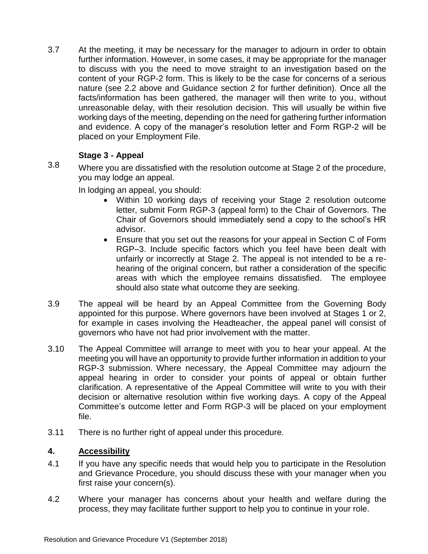3.7 At the meeting, it may be necessary for the manager to adjourn in order to obtain further information. However, in some cases, it may be appropriate for the manager to discuss with you the need to move straight to an investigation based on the content of your RGP-2 form. This is likely to be the case for concerns of a serious nature (see 2.2 above and Guidance section 2 for further definition). Once all the facts/information has been gathered, the manager will then write to you, without unreasonable delay, with their resolution decision. This will usually be within five working days of the meeting, depending on the need for gathering further information and evidence. A copy of the manager's resolution letter and Form RGP-2 will be placed on your Employment File.

# **Stage 3 - Appeal**

3.8 Where you are dissatisfied with the resolution outcome at Stage 2 of the procedure, you may lodge an appeal.

In lodging an appeal, you should:

- Within 10 working days of receiving your Stage 2 resolution outcome letter, submit Form RGP-3 (appeal form) to the Chair of Governors. The Chair of Governors should immediately send a copy to the school's HR advisor.
- Ensure that you set out the reasons for your appeal in Section C of Form RGP–3. Include specific factors which you feel have been dealt with unfairly or incorrectly at Stage 2. The appeal is not intended to be a rehearing of the original concern, but rather a consideration of the specific areas with which the employee remains dissatisfied. The employee should also state what outcome they are seeking.
- 3.9 The appeal will be heard by an Appeal Committee from the Governing Body appointed for this purpose. Where governors have been involved at Stages 1 or 2, for example in cases involving the Headteacher, the appeal panel will consist of governors who have not had prior involvement with the matter.
- 3.10 The Appeal Committee will arrange to meet with you to hear your appeal. At the meeting you will have an opportunity to provide further information in addition to your RGP-3 submission. Where necessary, the Appeal Committee may adjourn the appeal hearing in order to consider your points of appeal or obtain further clarification. A representative of the Appeal Committee will write to you with their decision or alternative resolution within five working days. A copy of the Appeal Committee's outcome letter and Form RGP-3 will be placed on your employment file.
- 3.11 There is no further right of appeal under this procedure.

# **4. Accessibility**

- 4.1 If you have any specific needs that would help you to participate in the Resolution and Grievance Procedure, you should discuss these with your manager when you first raise your concern(s).
- 4.2 Where your manager has concerns about your health and welfare during the process, they may facilitate further support to help you to continue in your role.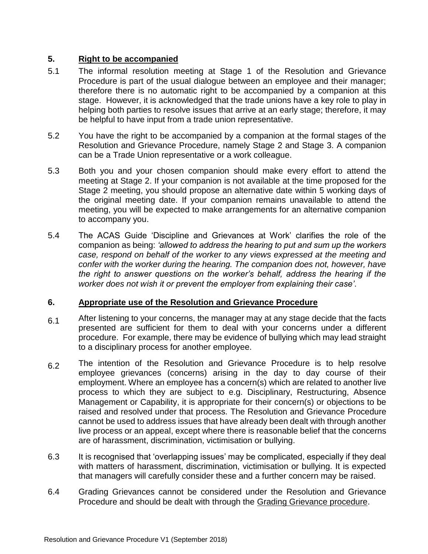# **5. Right to be accompanied**

- 5.1 The informal resolution meeting at Stage 1 of the Resolution and Grievance Procedure is part of the usual dialogue between an employee and their manager; therefore there is no automatic right to be accompanied by a companion at this stage. However, it is acknowledged that the trade unions have a key role to play in helping both parties to resolve issues that arrive at an early stage; therefore, it may be helpful to have input from a trade union representative.
- 5.2 You have the right to be accompanied by a companion at the formal stages of the Resolution and Grievance Procedure, namely Stage 2 and Stage 3. A companion can be a Trade Union representative or a work colleague.
- 5.3 Both you and your chosen companion should make every effort to attend the meeting at Stage 2. If your companion is not available at the time proposed for the Stage 2 meeting, you should propose an alternative date within 5 working days of the original meeting date. If your companion remains unavailable to attend the meeting, you will be expected to make arrangements for an alternative companion to accompany you.
- 5.4 The ACAS Guide 'Discipline and Grievances at Work' clarifies the role of the companion as being: *'allowed to address the hearing to put and sum up the workers case, respond on behalf of the worker to any views expressed at the meeting and confer with the worker during the hearing. The companion does not, however, have the right to answer questions on the worker's behalf, address the hearing if the worker does not wish it or prevent the employer from explaining their case'*.

## **6. Appropriate use of the Resolution and Grievance Procedure**

- $6.1$  After listening to your concerns, the manager may at any stage decide that the facts presented are sufficient for them to deal with your concerns under a different procedure. For example, there may be evidence of bullying which may lead straight to a disciplinary process for another employee.
- 6.2 The intention of the Resolution and Grievance Procedure is to help resolve employee grievances (concerns) arising in the day to day course of their employment. Where an employee has a concern(s) which are related to another live process to which they are subject to e.g. Disciplinary, Restructuring, Absence Management or Capability, it is appropriate for their concern(s) or objections to be raised and resolved under that process. The Resolution and Grievance Procedure cannot be used to address issues that have already been dealt with through another live process or an appeal, except where there is reasonable belief that the concerns are of harassment, discrimination, victimisation or bullying.
- 6.3 It is recognised that 'overlapping issues' may be complicated, especially if they deal with matters of harassment, discrimination, victimisation or bullying. It is expected that managers will carefully consider these and a further concern may be raised.
- 6.4 Grading Grievances cannot be considered under the Resolution and Grievance Procedure and should be dealt with through the [Grading Grievance procedure.](http://gossweb.nottinghamcity.gov.uk/nccextranet/index.aspx?articleid=21292)